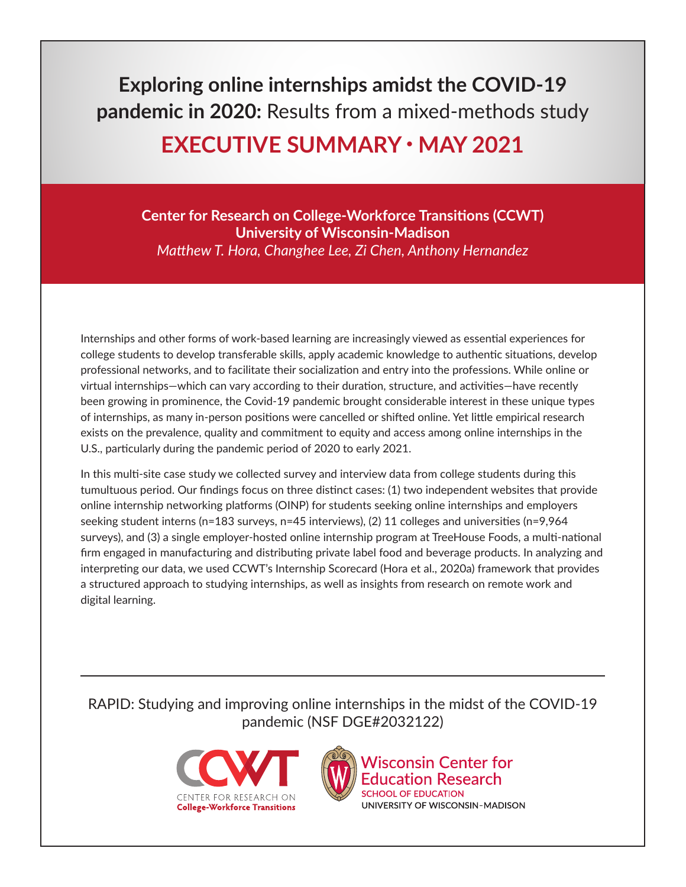**Exploring online internships amidst the COVID-19 pandemic in 2020:** Results from a mixed-methods study

# **EXECUTIVE SUMMARY • MAY 2021**

**Center for Research on College-Workforce Transitions (CCWT) University of Wisconsin-Madison** *Matthew T. Hora, Changhee Lee, Zi Chen, Anthony Hernandez*

Internships and other forms of work-based learning are increasingly viewed as essential experiences for college students to develop transferable skills, apply academic knowledge to authentic situations, develop professional networks, and to facilitate their socialization and entry into the professions. While online or virtual internships—which can vary according to their duration, structure, and activities—have recently been growing in prominence, the Covid-19 pandemic brought considerable interest in these unique types of internships, as many in-person positions were cancelled or shifted online. Yet little empirical research exists on the prevalence, quality and commitment to equity and access among online internships in the U.S., particularly during the pandemic period of 2020 to early 2021.

In this multi-site case study we collected survey and interview data from college students during this tumultuous period. Our findings focus on three distinct cases: (1) two independent websites that provide online internship networking platforms (OINP) for students seeking online internships and employers seeking student interns (n=183 surveys, n=45 interviews), (2) 11 colleges and universities (n=9,964 surveys), and (3) a single employer-hosted online internship program at TreeHouse Foods, a multi-national firm engaged in manufacturing and distributing private label food and beverage products. In analyzing and interpreting our data, we used CCWT's Internship Scorecard (Hora et al., 2020a) framework that provides a structured approach to studying internships, as well as insights from research on remote work and digital learning.

RAPID: Studying and improving online internships in the midst of the COVID-19 pandemic (NSF DGE#2032122)





**Wisconsin Center for** ucation Research **SCHOOL OF EDUCATION** UNIVERSITY OF WISCONSIN-MADISON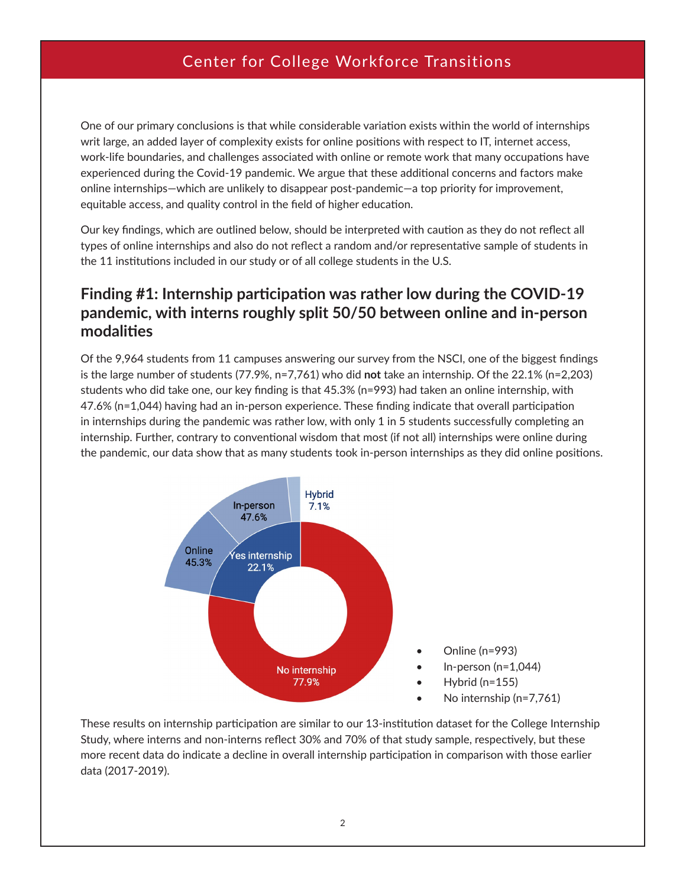One of our primary conclusions is that while considerable variation exists within the world of internships writ large, an added layer of complexity exists for online positions with respect to IT, internet access, work-life boundaries, and challenges associated with online or remote work that many occupations have experienced during the Covid-19 pandemic. We argue that these additional concerns and factors make online internships—which are unlikely to disappear post-pandemic—a top priority for improvement, equitable access, and quality control in the field of higher education.

Our key findings, which are outlined below, should be interpreted with caution as they do not reflect all types of online internships and also do not reflect a random and/or representative sample of students in the 11 institutions included in our study or of all college students in the U.S.

#### **Finding #1: Internship participation was rather low during the COVID-19 pandemic, with interns roughly split 50/50 between online and in-person modalities**

Of the 9,964 students from 11 campuses answering our survey from the NSCI, one of the biggest findings is the large number of students (77.9%, n=7,761) who did **not** take an internship. Of the 22.1% (n=2,203) students who did take one, our key finding is that 45.3% (n=993) had taken an online internship, with 47.6% (n=1,044) having had an in-person experience. These finding indicate that overall participation in internships during the pandemic was rather low, with only 1 in 5 students successfully completing an internship. Further, contrary to conventional wisdom that most (if not all) internships were online during the pandemic, our data show that as many students took in-person internships as they did online positions.



These results on internship participation are similar to our 13-institution dataset for the College Internship Study, where interns and non-interns reflect 30% and 70% of that study sample, respectively, but these more recent data do indicate a decline in overall internship participation in comparison with those earlier data (2017-2019).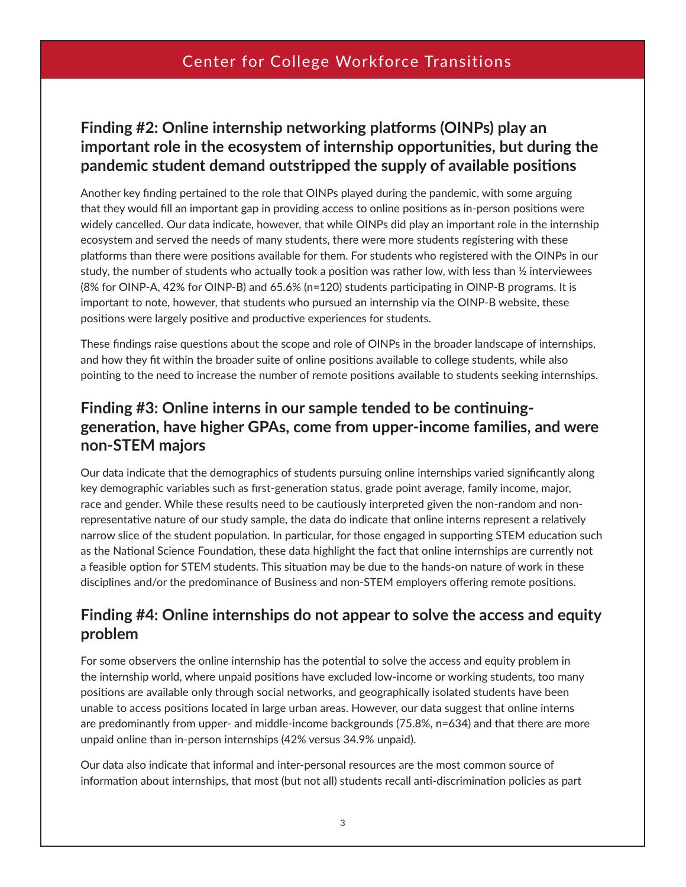#### **Finding #2: Online internship networking platforms (OINPs) play an important role in the ecosystem of internship opportunities, but during the pandemic student demand outstripped the supply of available positions**

Another key finding pertained to the role that OINPs played during the pandemic, with some arguing that they would fill an important gap in providing access to online positions as in-person positions were widely cancelled. Our data indicate, however, that while OINPs did play an important role in the internship ecosystem and served the needs of many students, there were more students registering with these platforms than there were positions available for them. For students who registered with the OINPs in our study, the number of students who actually took a position was rather low, with less than  $\frac{1}{2}$  interviewees (8% for OINP-A, 42% for OINP-B) and 65.6% (n=120) students participating in OINP-B programs. It is important to note, however, that students who pursued an internship via the OINP-B website, these positions were largely positive and productive experiences for students.

These findings raise questions about the scope and role of OINPs in the broader landscape of internships, and how they fit within the broader suite of online positions available to college students, while also pointing to the need to increase the number of remote positions available to students seeking internships.

### **Finding #3: Online interns in our sample tended to be continuinggeneration, have higher GPAs, come from upper-income families, and were non-STEM majors**

Our data indicate that the demographics of students pursuing online internships varied significantly along key demographic variables such as first-generation status, grade point average, family income, major, race and gender. While these results need to be cautiously interpreted given the non-random and nonrepresentative nature of our study sample, the data do indicate that online interns represent a relatively narrow slice of the student population. In particular, for those engaged in supporting STEM education such as the National Science Foundation, these data highlight the fact that online internships are currently not a feasible option for STEM students. This situation may be due to the hands-on nature of work in these disciplines and/or the predominance of Business and non-STEM employers offering remote positions.

#### **Finding #4: Online internships do not appear to solve the access and equity problem**

For some observers the online internship has the potential to solve the access and equity problem in the internship world, where unpaid positions have excluded low-income or working students, too many positions are available only through social networks, and geographically isolated students have been unable to access positions located in large urban areas. However, our data suggest that online interns are predominantly from upper- and middle-income backgrounds (75.8%, n=634) and that there are more unpaid online than in-person internships (42% versus 34.9% unpaid).

Our data also indicate that informal and inter-personal resources are the most common source of information about internships, that most (but not all) students recall anti-discrimination policies as part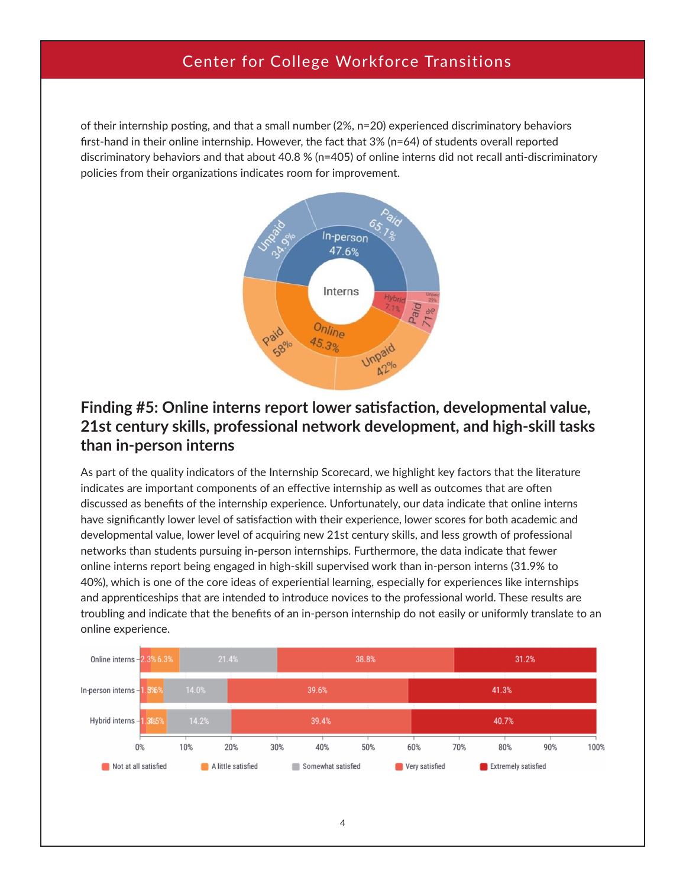of their internship posting, and that a small number (2%, n=20) experienced discriminatory behaviors first-hand in their online internship. However, the fact that 3% (n=64) of students overall reported discriminatory behaviors and that about 40.8 % (n=405) of online interns did not recall anti-discriminatory policies from their organizations indicates room for improvement.



#### **Finding #5: Online interns report lower satisfaction, developmental value, 21st century skills, professional network development, and high-skill tasks than in-person interns**

As part of the quality indicators of the Internship Scorecard, we highlight key factors that the literature indicates are important components of an effective internship as well as outcomes that are often discussed as benefits of the internship experience. Unfortunately, our data indicate that online interns have significantly lower level of satisfaction with their experience, lower scores for both academic and developmental value, lower level of acquiring new 21st century skills, and less growth of professional networks than students pursuing in-person internships. Furthermore, the data indicate that fewer online interns report being engaged in high-skill supervised work than in-person interns (31.9% to 40%), which is one of the core ideas of experiential learning, especially for experiences like internships and apprenticeships that are intended to introduce novices to the professional world. These results are troubling and indicate that the benefits of an in-person internship do not easily or uniformly translate to an online experience.

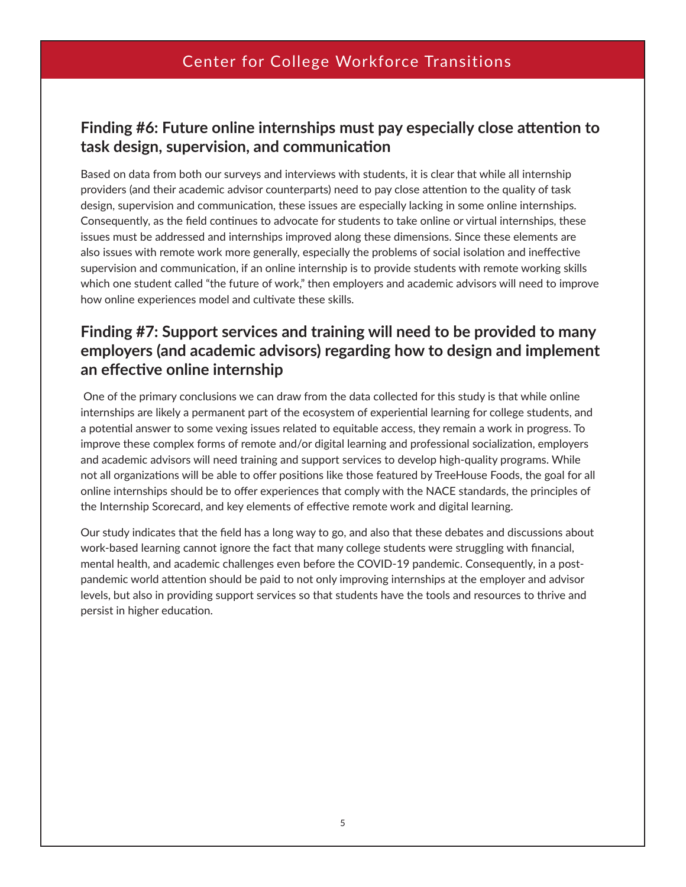#### **Finding #6: Future online internships must pay especially close attention to task design, supervision, and communication**

Based on data from both our surveys and interviews with students, it is clear that while all internship providers (and their academic advisor counterparts) need to pay close attention to the quality of task design, supervision and communication, these issues are especially lacking in some online internships. Consequently, as the field continues to advocate for students to take online or virtual internships, these issues must be addressed and internships improved along these dimensions. Since these elements are also issues with remote work more generally, especially the problems of social isolation and ineffective supervision and communication, if an online internship is to provide students with remote working skills which one student called "the future of work," then employers and academic advisors will need to improve how online experiences model and cultivate these skills.

## **Finding #7: Support services and training will need to be provided to many employers (and academic advisors) regarding how to design and implement an effective online internship**

 One of the primary conclusions we can draw from the data collected for this study is that while online internships are likely a permanent part of the ecosystem of experiential learning for college students, and a potential answer to some vexing issues related to equitable access, they remain a work in progress. To improve these complex forms of remote and/or digital learning and professional socialization, employers and academic advisors will need training and support services to develop high-quality programs. While not all organizations will be able to offer positions like those featured by TreeHouse Foods, the goal for all online internships should be to offer experiences that comply with the NACE standards, the principles of the Internship Scorecard, and key elements of effective remote work and digital learning.

Our study indicates that the field has a long way to go, and also that these debates and discussions about work-based learning cannot ignore the fact that many college students were struggling with financial, mental health, and academic challenges even before the COVID-19 pandemic. Consequently, in a postpandemic world attention should be paid to not only improving internships at the employer and advisor levels, but also in providing support services so that students have the tools and resources to thrive and persist in higher education.